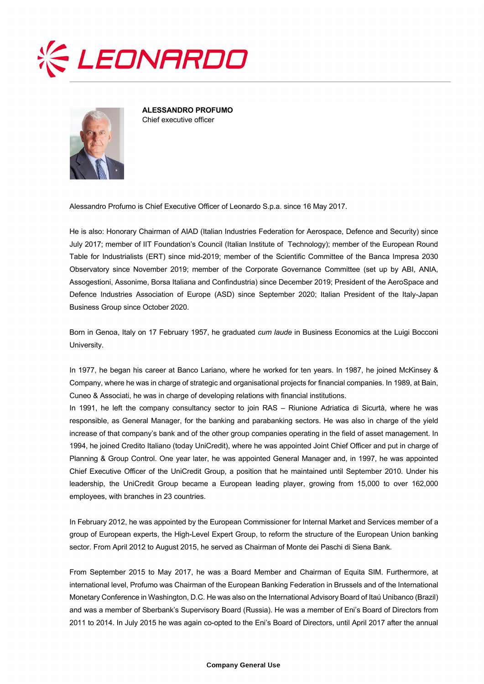



**ALESSANDRO PROFUMO** Chief executive officer

Alessandro Profumo is Chief Executive Officer of Leonardo S.p.a. since 16 May 2017.

He is also: Honorary Chairman of AIAD (Italian Industries Federation for Aerospace, Defence and Security) since July 2017; member of IIT Foundation's Council (Italian Institute of Technology); member of the European Round Table for Industrialists (ERT) since mid-2019; member of the Scientific Committee of the Banca Impresa 2030 Observatory since November 2019; member of the Corporate Governance Committee (set up by ABI, ANIA, Assogestioni, Assonime, Borsa Italiana and Confindustria) since December 2019; President of the AeroSpace and Defence Industries Association of Europe (ASD) since September 2020; Italian President of the Italy-Japan Business Group since October 2020.

Born in Genoa, Italy on 17 February 1957, he graduated *cum laude* in Business Economics at the Luigi Bocconi University.

In 1977, he began his career at Banco Lariano, where he worked for ten years. In 1987, he joined McKinsey & Company, where he was in charge of strategic and organisational projects for financial companies. In 1989, at Bain, Cuneo & Associati, he was in charge of developing relations with financial institutions.

In 1991, he left the company consultancy sector to join RAS – Riunione Adriatica di Sicurtà, where he was responsible, as General Manager, for the banking and parabanking sectors. He was also in charge of the yield increase of that company's bank and of the other group companies operating in the field of asset management. In 1994, he joined Credito Italiano (today UniCredit), where he was appointed Joint Chief Officer and put in charge of Planning & Group Control. One year later, he was appointed General Manager and, in 1997, he was appointed Chief Executive Officer of the UniCredit Group, a position that he maintained until September 2010. Under his leadership, the UniCredit Group became a European leading player, growing from 15,000 to over 162,000 employees, with branches in 23 countries.

In February 2012, he was appointed by the European Commissioner for Internal Market and Services member of a group of European experts, the High-Level Expert Group, to reform the structure of the European Union banking sector. From April 2012 to August 2015, he served as Chairman of Monte dei Paschi di Siena Bank.

From September 2015 to May 2017, he was a Board Member and Chairman of Equita SIM. Furthermore, at international level, Profumo was Chairman of the European Banking Federation in Brussels and of the International Monetary Conference in Washington, D.C. He was also on the International Advisory Board of Itaú Unibanco (Brazil) and was a member of Sberbank's Supervisory Board (Russia). He was a member of Eni's Board of Directors from 2011 to 2014. In July 2015 he was again co-opted to the Eni's Board of Directors, until April 2017 after the annual